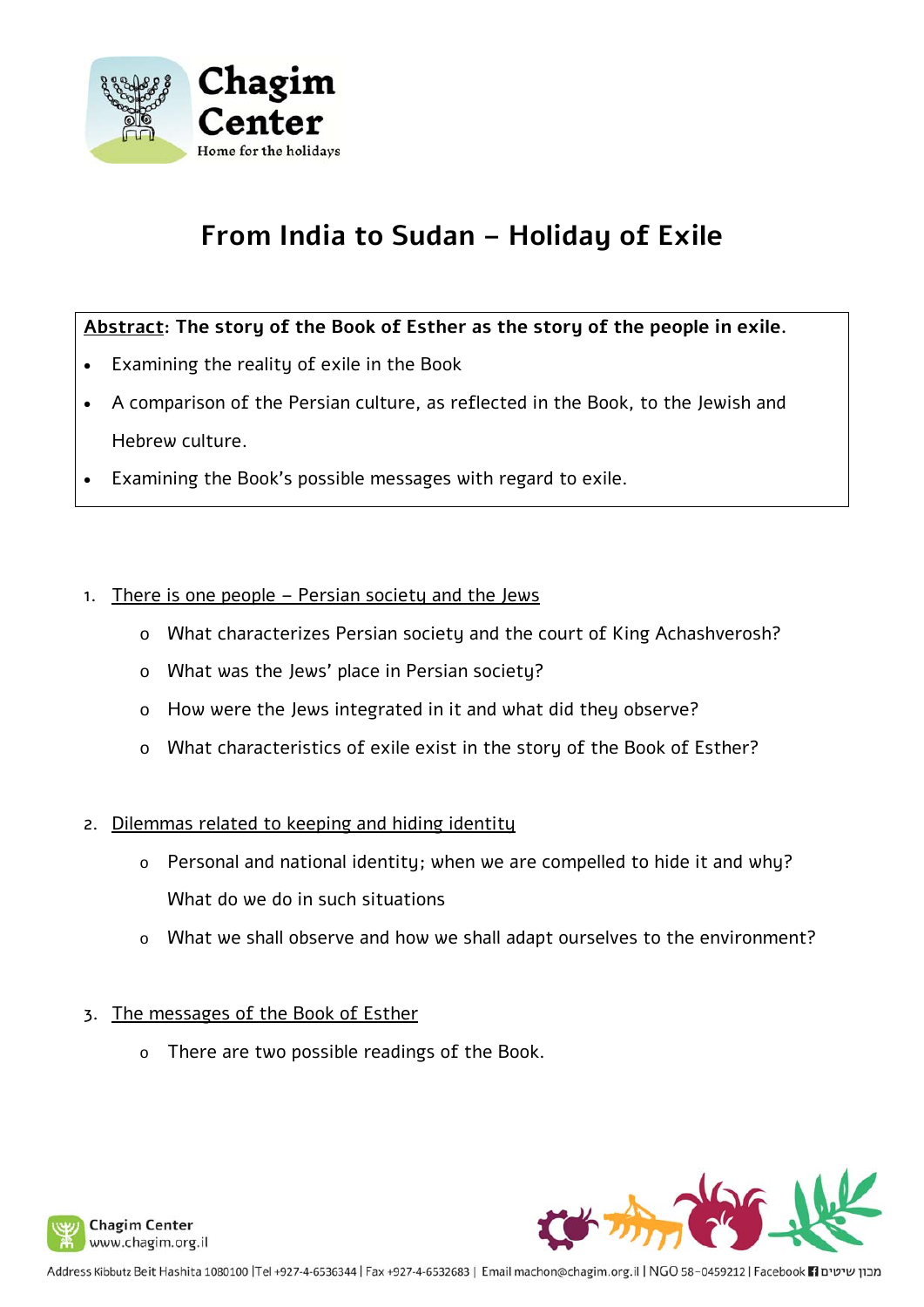

## **From India to Sudan – Holiday of Exile**

#### **Abstract: The story of the Book of Esther as the story of the people in exile.**

- Examining the reality of exile in the Book
- A comparison of the Persian culture, as reflected in the Book, to the Jewish and Hebrew culture.
- Examining the Book's possible messages with regard to exile.
- 1. There is one people Persian society and the Jews
	- o What characterizes Persian society and the court of King Achashverosh?
	- o What was the Jews' place in Persian society?
	- o How were the Jews integrated in it and what did they observe?
	- o What characteristics of exile exist in the story of the Book of Esther?
- 2. Dilemmas related to keeping and hiding identity
	- o Personal and national identity; when we are compelled to hide it and why? What do we do in such situations
	- o What we shall observe and how we shall adapt ourselves to the environment?

#### 3. The messages of the Book of Esther

o There are two possible readings of the Book.



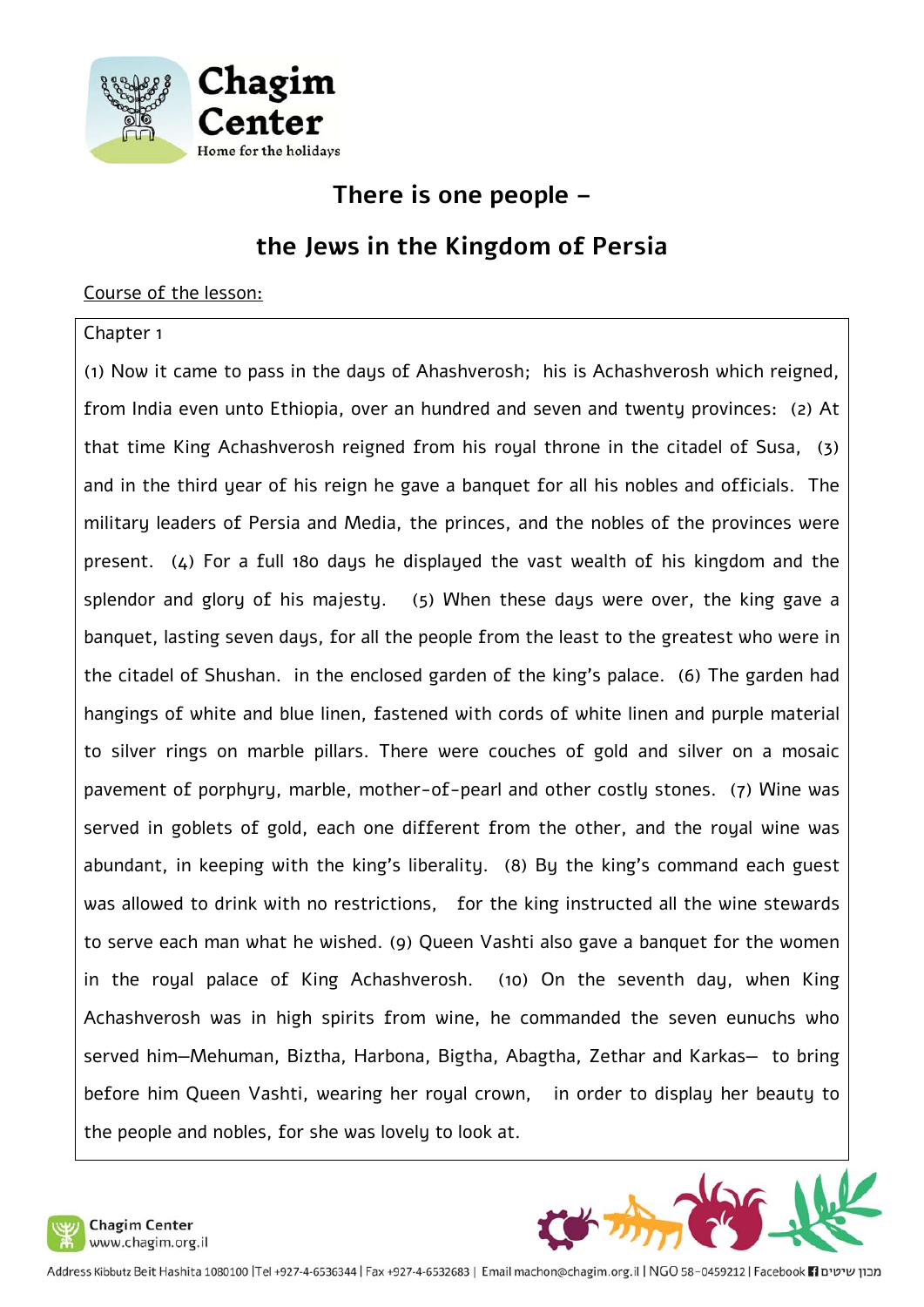

**There is one people –** 

### **the Jews in the Kingdom of Persia**

#### Course of the lesson:

#### Chapter 1

(1) Now it came to pass in the days of Ahashverosh; his is Achashverosh which reigned, from India even unto Ethiopia, over an hundred and seven and twenty provinces: (2) At that time King Achashverosh reigned from his royal throne in the citadel of Susa, (3) and in the third year of his reign he gave a banquet for all his nobles and officials. The military leaders of Persia and Media, the princes, and the nobles of the provinces were present. (4) For a full 180 days he displayed the vast wealth of his kingdom and the splendor and glory of his majesty. (5) When these days were over, the king gave a banquet, lasting seven days, for all the people from the least to the greatest who were in the citadel of Shushan. in the enclosed garden of the king's palace. (6) The garden had hangings of white and blue linen, fastened with cords of white linen and purple material to silver rings on marble pillars. There were couches of gold and silver on a mosaic pavement of porphyry, marble, mother-of-pearl and other costly stones. (7) Wine was served in goblets of gold, each one different from the other, and the royal wine was abundant, in keeping with the king's liberality. (8) By the king's command each guest was allowed to drink with no restrictions, for the king instructed all the wine stewards to serve each man what he wished. (9) Queen Vashti also gave a banquet for the women in the royal palace of King Achashverosh. (10) On the seventh day, when King Achashverosh was in high spirits from wine, he commanded the seven eunuchs who served him—Mehuman, Biztha, Harbona, Bigtha, Abagtha, Zethar and Karkas— to bring before him Queen Vashti, wearing her royal crown, in order to display her beauty to the people and nobles, for she was lovely to look at.



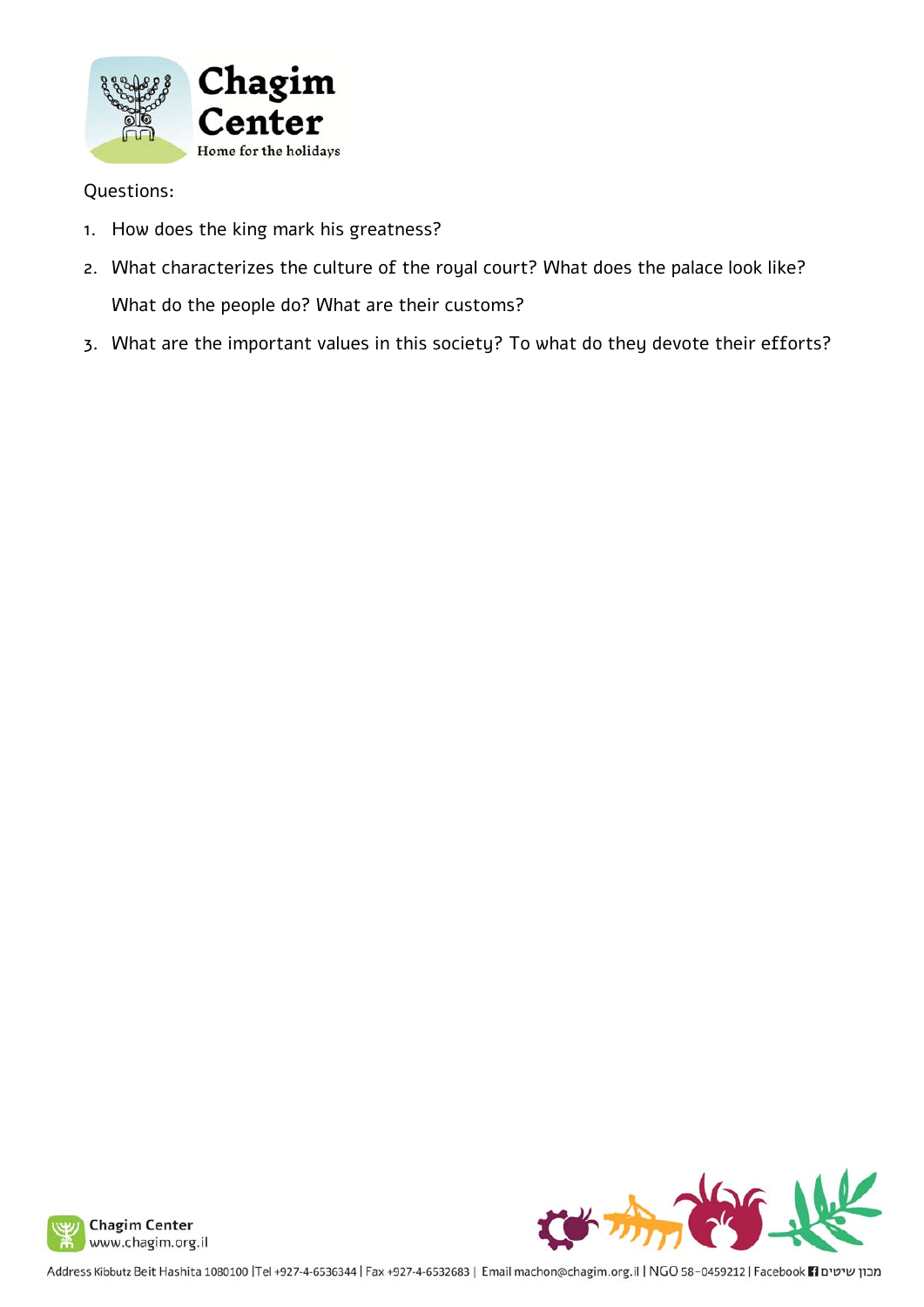

- 1. How does the king mark his greatness?
- 2. What characterizes the culture of the royal court? What does the palace look like? What do the people do? What are their customs?
- 3. What are the important values in this society? To what do they devote their efforts?



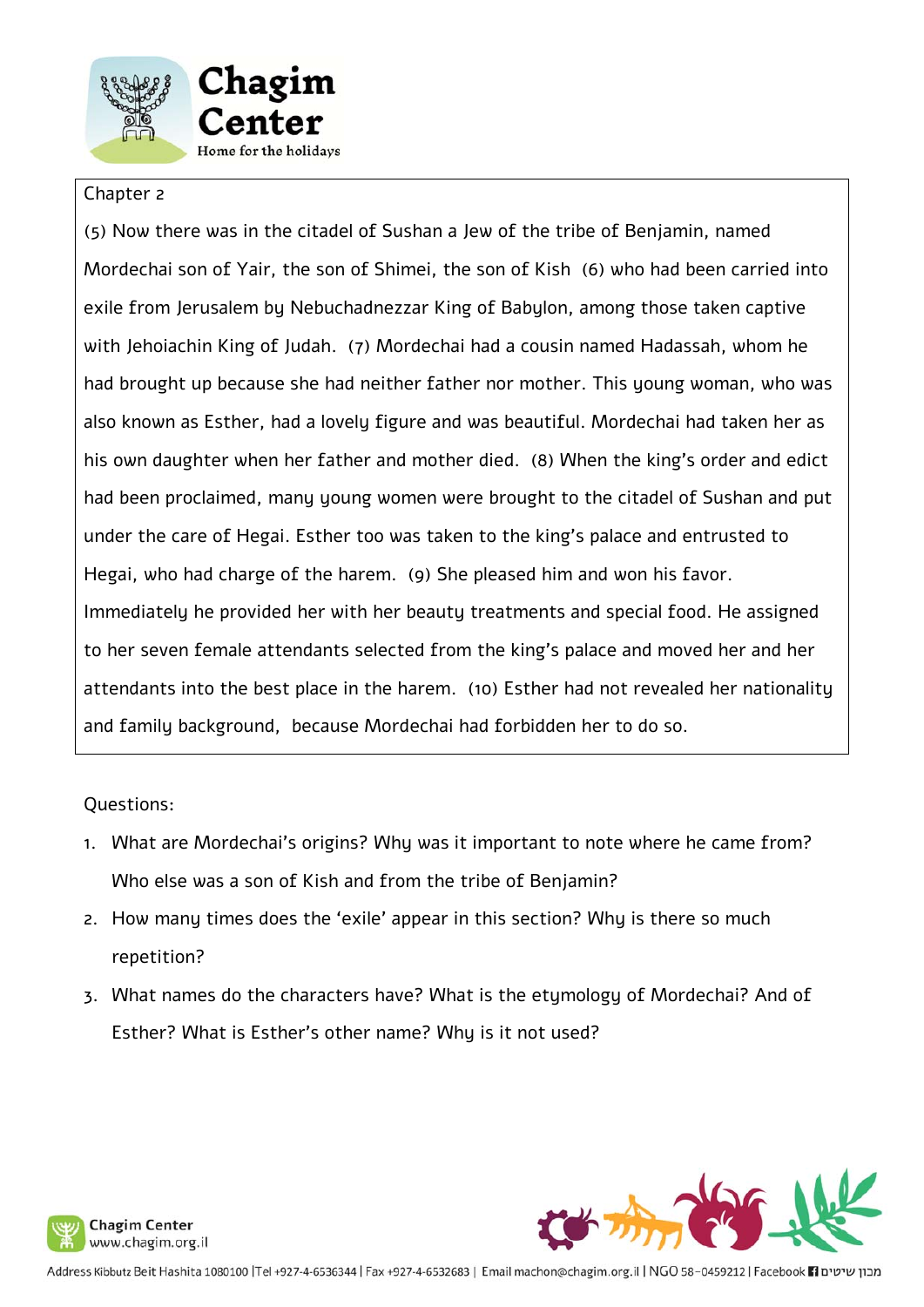



#### Chapter 2

(5) Now there was in the citadel of Sushan a Jew of the tribe of Benjamin, named Mordechai son of Yair, the son of Shimei, the son of Kish (6) who had been carried into exile from Jerusalem by Nebuchadnezzar King of Babylon, among those taken captive with Jehoiachin King of Judah. (7) Mordechai had a cousin named Hadassah, whom he had brought up because she had neither father nor mother. This young woman, who was also known as Esther, had a lovely figure and was beautiful. Mordechai had taken her as his own daughter when her father and mother died. (8) When the king's order and edict had been proclaimed, many young women were brought to the citadel of Sushan and put under the care of Hegai. Esther too was taken to the king's palace and entrusted to Hegai, who had charge of the harem. (9) She pleased him and won his favor. Immediately he provided her with her beauty treatments and special food. He assigned to her seven female attendants selected from the king's palace and moved her and her attendants into the best place in the harem. (10) Esther had not revealed her nationality and family background, because Mordechai had forbidden her to do so.

- 1. What are Mordechai's origins? Why was it important to note where he came from? Who else was a son of Kish and from the tribe of Benjamin?
- 2. How many times does the 'exile' appear in this section? Why is there so much repetition?
- 3. What names do the characters have? What is the etymology of Mordechai? And of Esther? What is Esther's other name? Why is it not used?



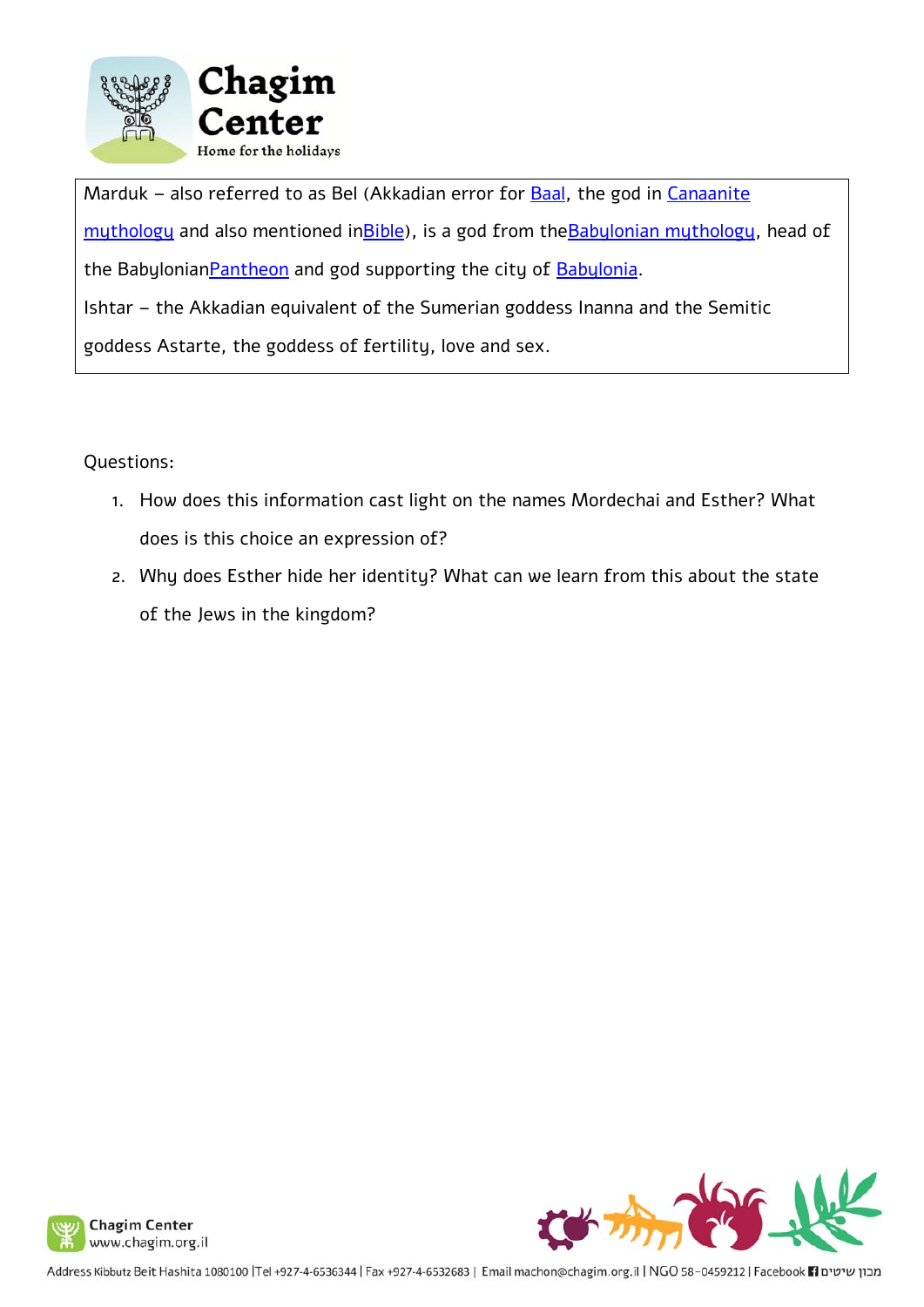

Marduk – also referred to as Bel (Akkadian error for Baal, the god in Canaanite muthology and also mentioned in Bible), is a god from the Babylonian muthology, head of the Babylonian Pantheon and god supporting the city of Babylonia. Ishtar – the Akkadian equivalent of the Sumerian goddess Inanna and the Semitic goddess Astarte, the goddess of fertility, love and sex.

- 1. How does this information cast light on the names Mordechai and Esther? What does is this choice an expression of?
- 2. Why does Esther hide her identity? What can we learn from this about the state of the Jews in the kingdom?



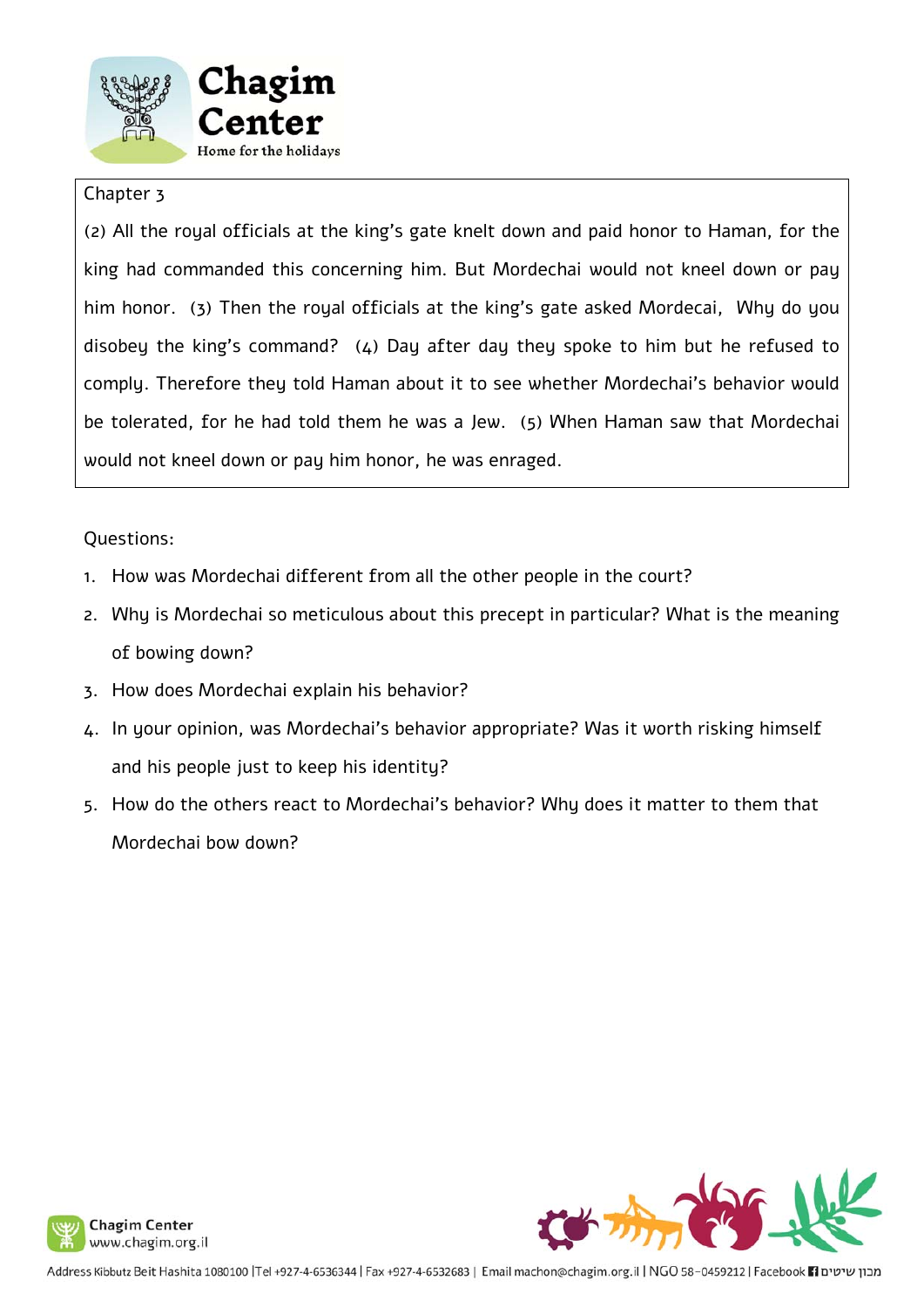



#### Chapter 3

(2) All the royal officials at the king's gate knelt down and paid honor to Haman, for the king had commanded this concerning him. But Mordechai would not kneel down or pay him honor. (3) Then the royal officials at the king's gate asked Mordecai, Why do you disobey the king's command? (4) Day after day they spoke to him but he refused to comply. Therefore they told Haman about it to see whether Mordechai's behavior would be tolerated, for he had told them he was a Jew. (5) When Haman saw that Mordechai would not kneel down or pay him honor, he was enraged.

- 1. How was Mordechai different from all the other people in the court?
- 2. Why is Mordechai so meticulous about this precept in particular? What is the meaning of bowing down?
- 3. How does Mordechai explain his behavior?
- 4. In your opinion, was Mordechai's behavior appropriate? Was it worth risking himself and his people just to keep his identity?
- 5. How do the others react to Mordechai's behavior? Why does it matter to them that Mordechai bow down?

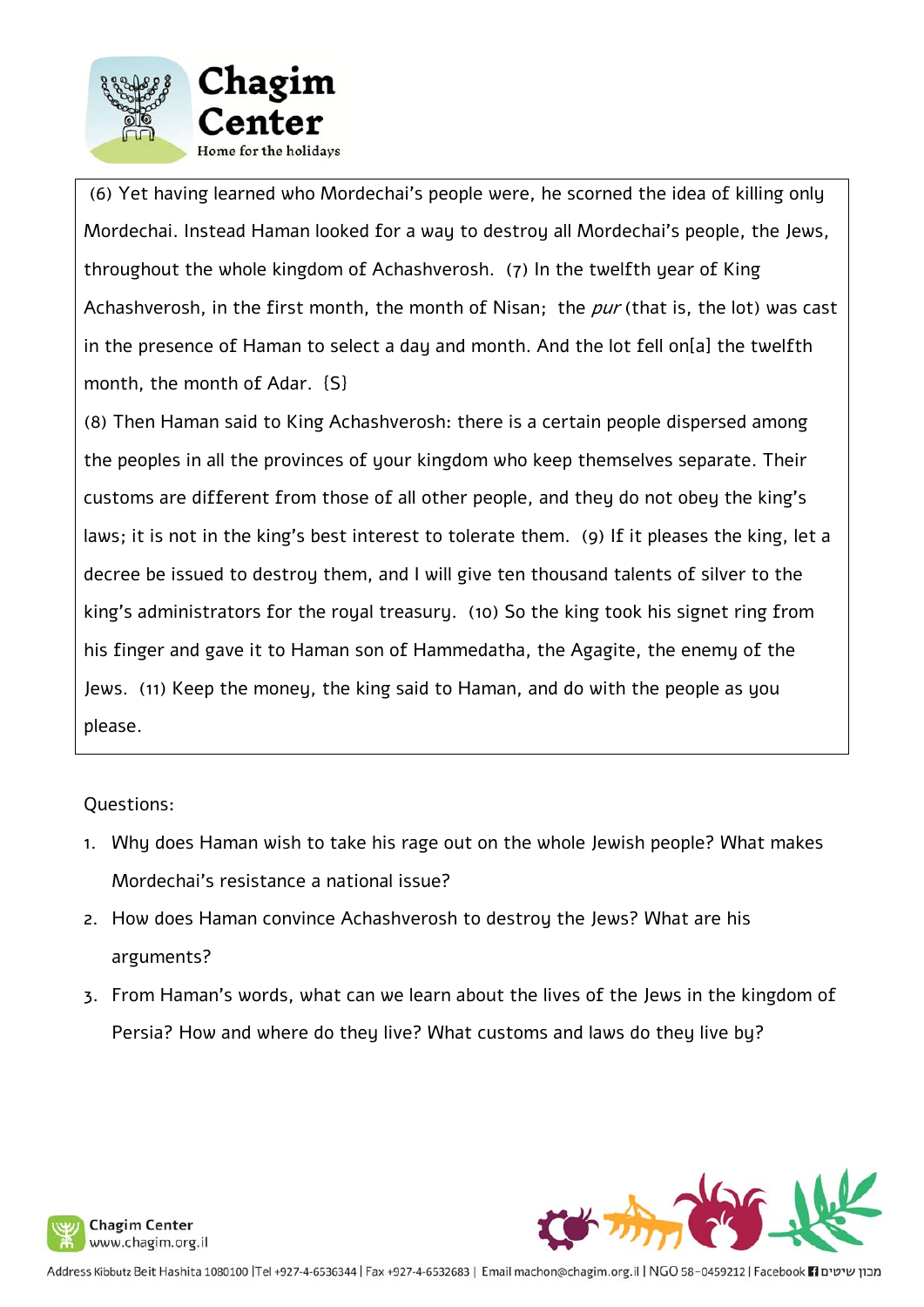

 (6) Yet having learned who Mordechai's people were, he scorned the idea of killing only Mordechai. Instead Haman looked for a way to destroy all Mordechai's people, the Jews, throughout the whole kingdom of Achashverosh. (7) In the twelfth year of King Achashverosh, in the first month, the month of Nisan; the  $pur$  (that is, the lot) was cast in the presence of Haman to select a day and month. And the lot fell on[a] the twelfth month, the month of Adar. {S}

(8) Then Haman said to King Achashverosh: there is a certain people dispersed among the peoples in all the provinces of your kingdom who keep themselves separate. Their customs are different from those of all other people, and they do not obey the king's laws; it is not in the king's best interest to tolerate them. (9) If it pleases the king, let a decree be issued to destroy them, and I will give ten thousand talents of silver to the king's administrators for the royal treasury. (10) So the king took his signet ring from his finger and gave it to Haman son of Hammedatha, the Agagite, the enemy of the Jews. (11) Keep the money, the king said to Haman, and do with the people as you please.

- 1. Why does Haman wish to take his rage out on the whole Jewish people? What makes Mordechai's resistance a national issue?
- 2. How does Haman convince Achashverosh to destroy the Jews? What are his arguments?
- 3. From Haman's words, what can we learn about the lives of the Jews in the kingdom of Persia? How and where do they live? What customs and laws do they live by?



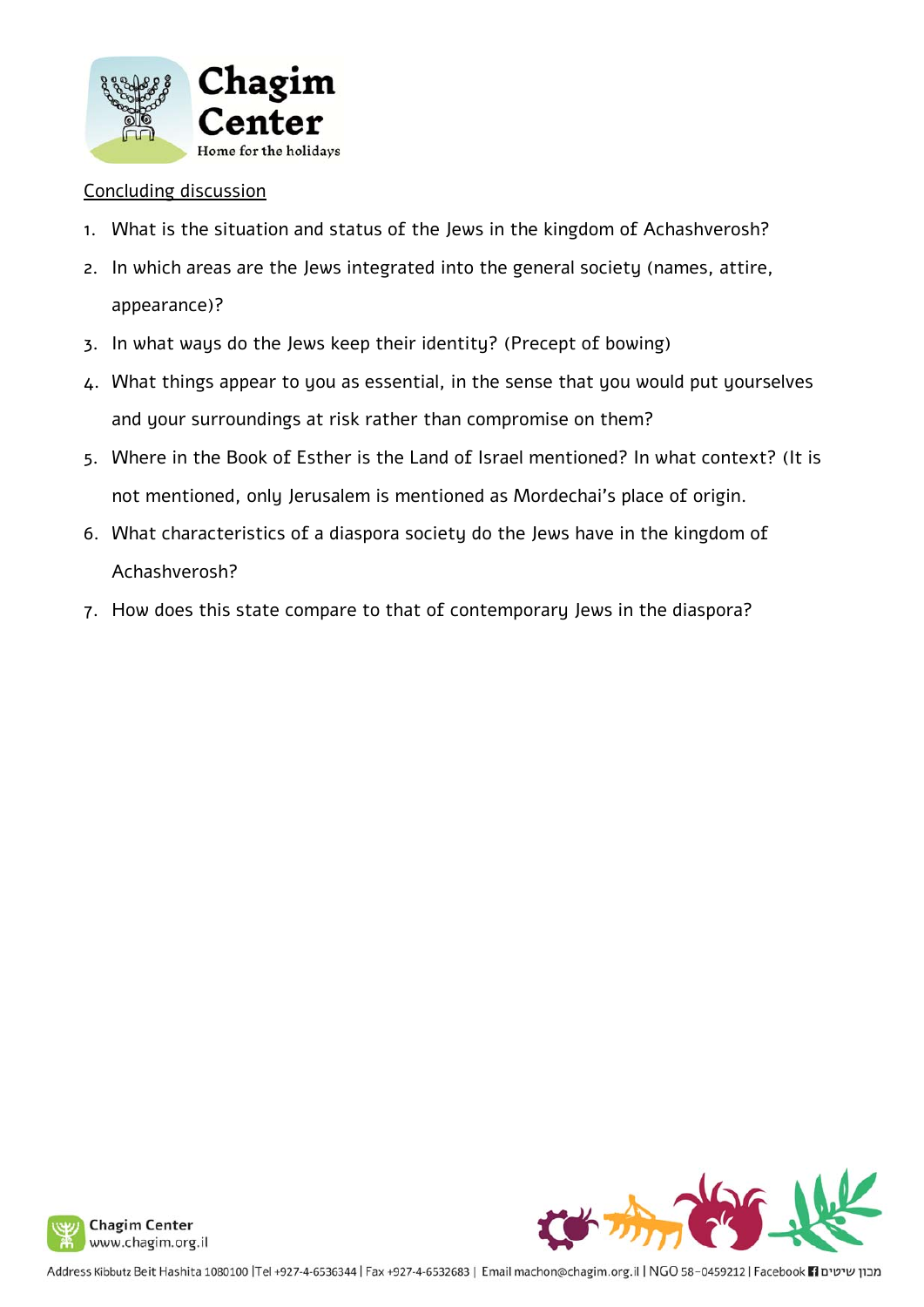

#### Concluding discussion

- 1. What is the situation and status of the Jews in the kingdom of Achashverosh?
- 2. In which areas are the Jews integrated into the general society (names, attire, appearance)?
- 3. In what ways do the Jews keep their identity? (Precept of bowing)
- 4. What things appear to you as essential, in the sense that you would put yourselves and your surroundings at risk rather than compromise on them?
- 5. Where in the Book of Esther is the Land of Israel mentioned? In what context? (It is not mentioned, only Jerusalem is mentioned as Mordechai's place of origin.
- 6. What characteristics of a diaspora society do the Jews have in the kingdom of Achashverosh?
- 7. How does this state compare to that of contemporary Jews in the diaspora?



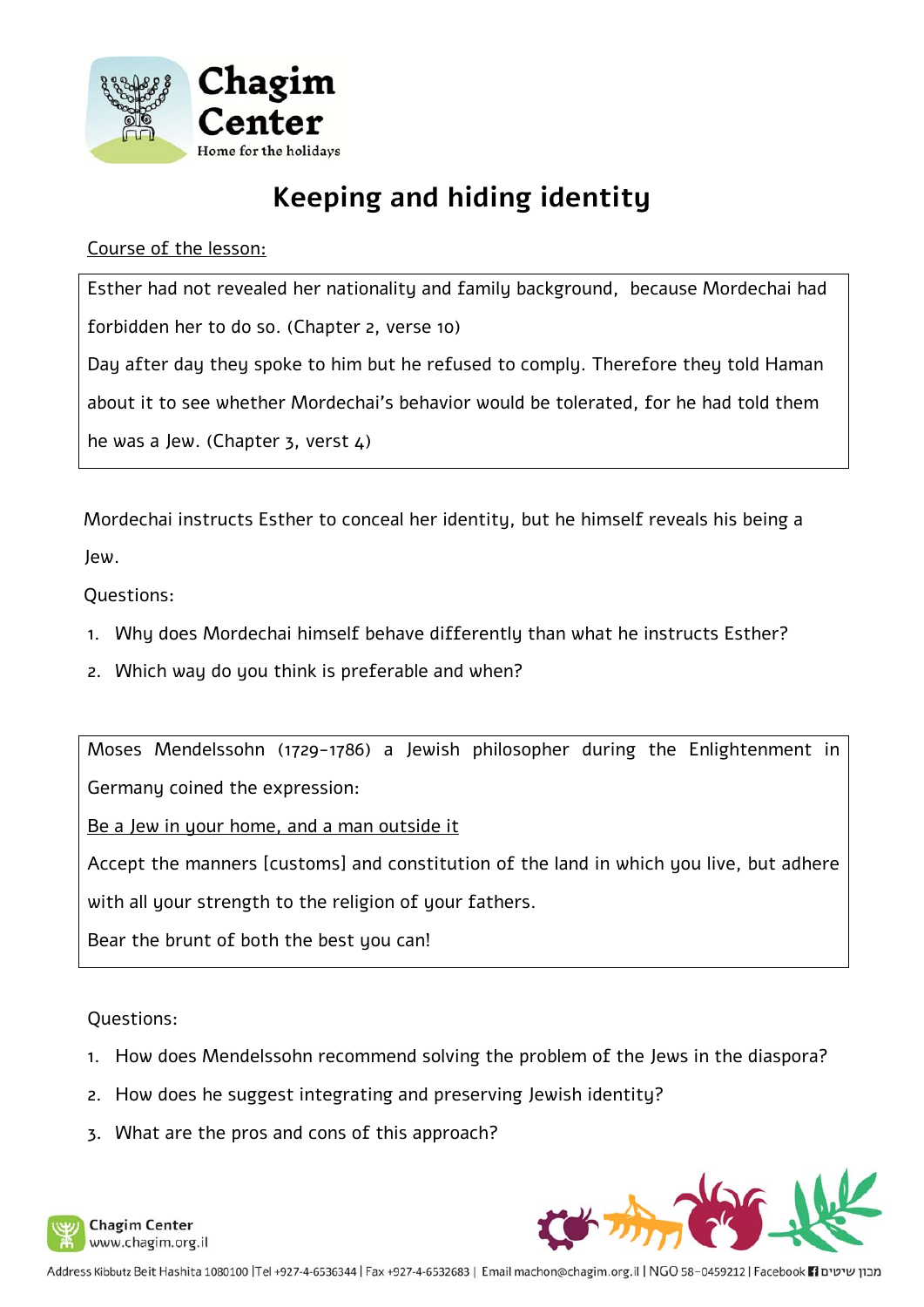

## **Keeping and hiding identity**

#### Course of the lesson:

Esther had not revealed her nationality and family background, because Mordechai had forbidden her to do so. (Chapter 2, verse 10) Day after day they spoke to him but he refused to comply. Therefore they told Haman about it to see whether Mordechai's behavior would be tolerated, for he had told them he was a Jew. (Chapter  $3$ , verst  $4$ )

Mordechai instructs Esther to conceal her identity, but he himself reveals his being a Jew.

Questions:

- 1. Why does Mordechai himself behave differently than what he instructs Esther?
- 2. Which way do you think is preferable and when?

Moses Mendelssohn (1729-1786) a Jewish philosopher during the Enlightenment in Germany coined the expression:

Be a Jew in your home, and a man outside it

Accept the manners [customs] and constitution of the land in which you live, but adhere

with all your strength to the religion of your fathers.

Bear the brunt of both the best you can!

Questions:

- 1. How does Mendelssohn recommend solving the problem of the Jews in the diaspora?
- 2. How does he suggest integrating and preserving Jewish identity?
- 3. What are the pros and cons of this approach?





מבון שיטים Facebook 11 ו-1930-58 Address Kibbutz Beit Hashita 1080100 |Tel +927-4-6536344 | Fax +927-4-6532683 | Email machon@chagim.org.il | NGO 58-0459212 | Facebook 1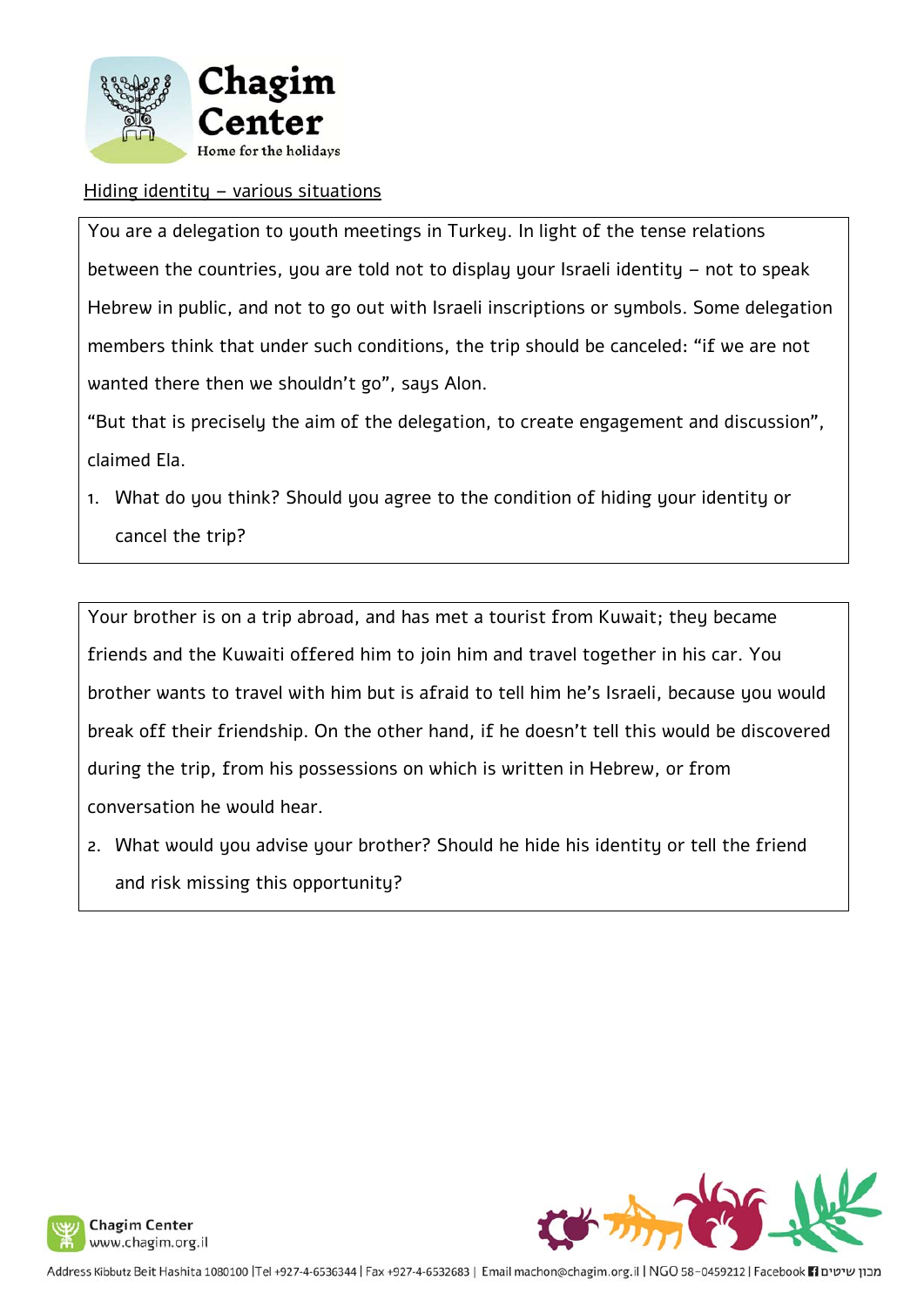

#### Hiding identity – various situations

You are a delegation to youth meetings in Turkey. In light of the tense relations between the countries, you are told not to display your Israeli identity – not to speak Hebrew in public, and not to go out with Israeli inscriptions or symbols. Some delegation members think that under such conditions, the trip should be canceled: "if we are not wanted there then we shouldn't go", says Alon.

"But that is precisely the aim of the delegation, to create engagement and discussion", claimed Ela.

1. What do you think? Should you agree to the condition of hiding your identity or cancel the trip?

Your brother is on a trip abroad, and has met a tourist from Kuwait; they became friends and the Kuwaiti offered him to join him and travel together in his car. You brother wants to travel with him but is afraid to tell him he's Israeli, because you would break off their friendship. On the other hand, if he doesn't tell this would be discovered during the trip, from his possessions on which is written in Hebrew, or from conversation he would hear.

2. What would you advise your brother? Should he hide his identity or tell the friend and risk missing this opportunity?



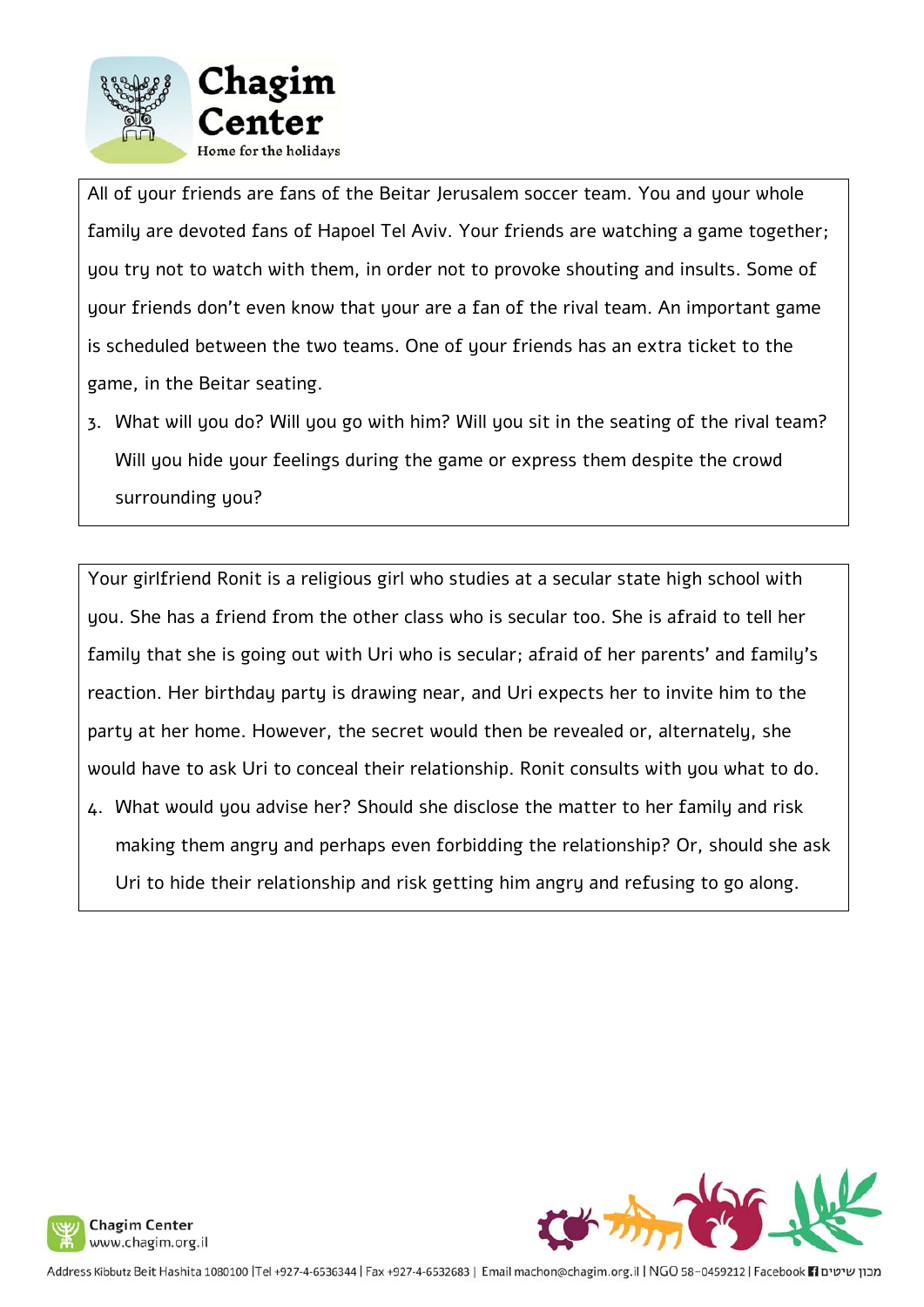

All of your friends are fans of the Beitar Jerusalem soccer team. You and your whole family are devoted fans of Hapoel Tel Aviv. Your friends are watching a game together; you try not to watch with them, in order not to provoke shouting and insults. Some of your friends don't even know that your are a fan of the rival team. An important game is scheduled between the two teams. One of your friends has an extra ticket to the game, in the Beitar seating.

3. What will you do? Will you go with him? Will you sit in the seating of the rival team? Will you hide your feelings during the game or express them despite the crowd surrounding you?

Your girlfriend Ronit is a religious girl who studies at a secular state high school with you. She has a friend from the other class who is secular too. She is afraid to tell her family that she is going out with Uri who is secular; afraid of her parents' and family's reaction. Her birthday party is drawing near, and Uri expects her to invite him to the party at her home. However, the secret would then be revealed or, alternately, she would have to ask Uri to conceal their relationship. Ronit consults with you what to do. 4. What would you advise her? Should she disclose the matter to her family and risk making them angry and perhaps even forbidding the relationship? Or, should she ask Uri to hide their relationship and risk getting him angry and refusing to go along.





מבון שיטים Facebook 11 ו-1903 Address Kibbutz Beit Hashita 1080100 |Tel +927-4-6530344 | Fax +927-4-6532683 | Email machon@chagim.org.il | NGO 58-0459212 | Facebook 1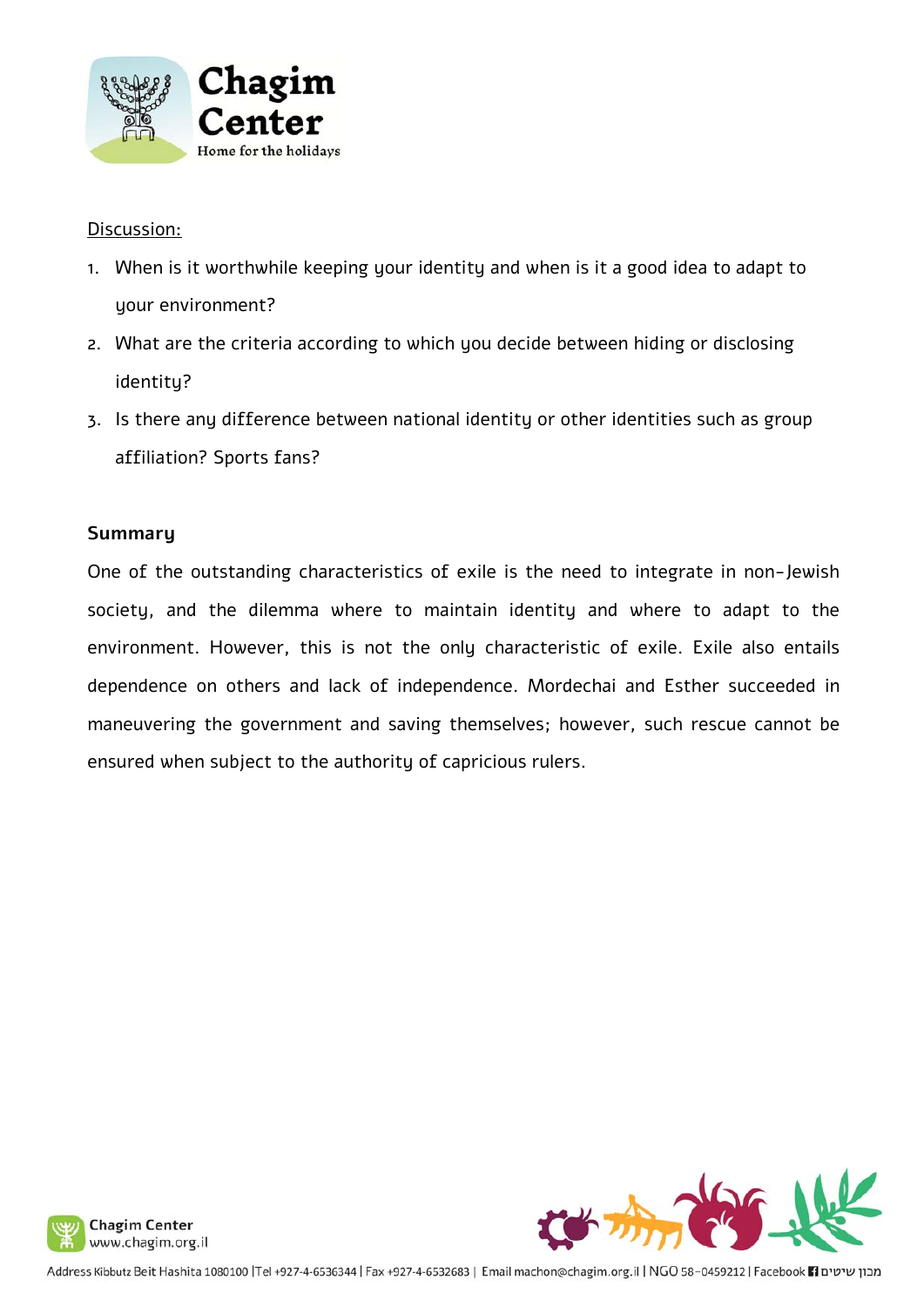

#### Discussion:

- 1. When is it worthwhile keeping your identity and when is it a good idea to adapt to your environment?
- 2. What are the criteria according to which you decide between hiding or disclosing identity?
- 3. Is there any difference between national identity or other identities such as group affiliation? Sports fans?

#### **Summary**

One of the outstanding characteristics of exile is the need to integrate in non-Jewish society, and the dilemma where to maintain identity and where to adapt to the environment. However, this is not the only characteristic of exile. Exile also entails dependence on others and lack of independence. Mordechai and Esther succeeded in maneuvering the government and saving themselves; however, such rescue cannot be ensured when subject to the authority of capricious rulers.

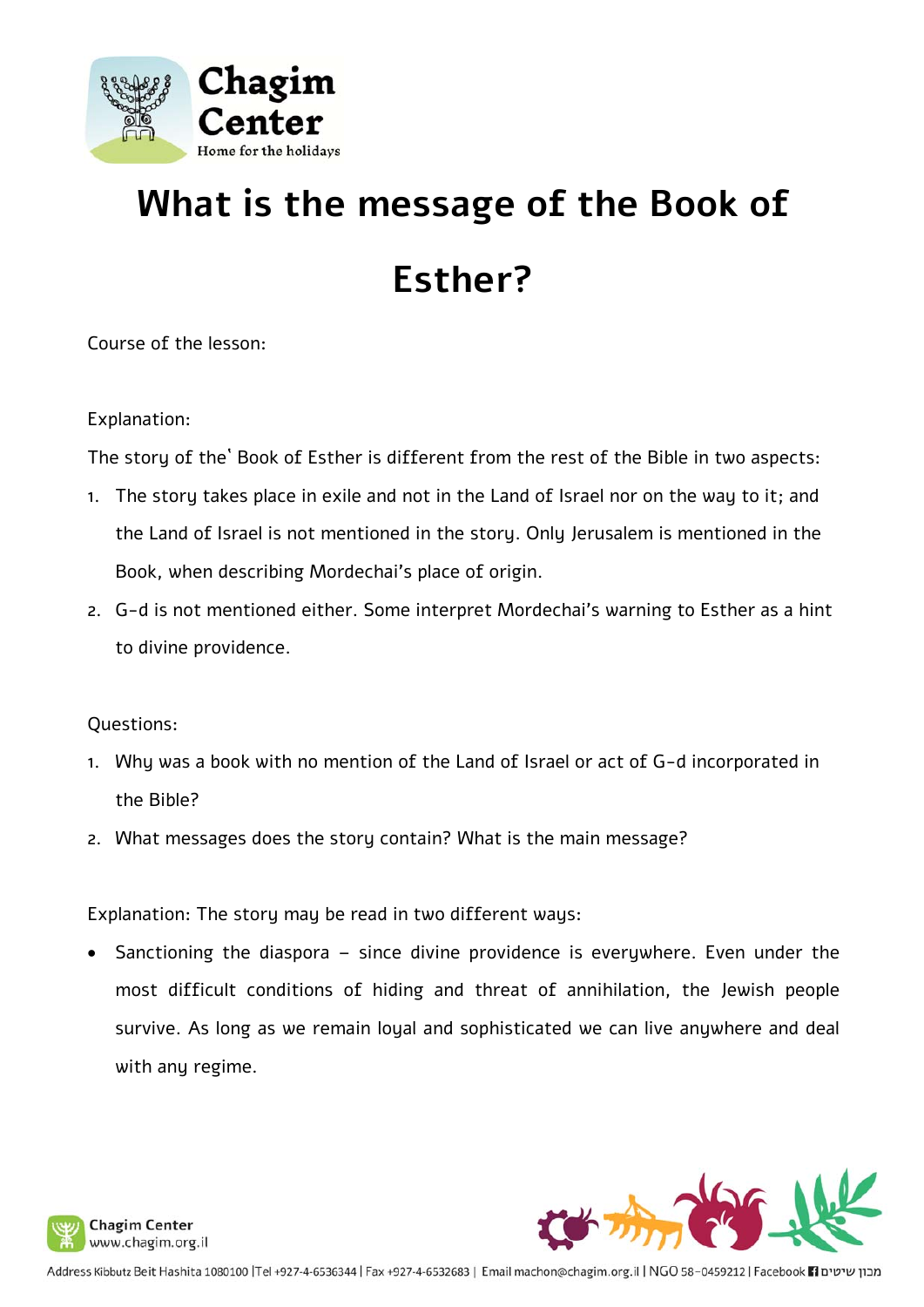

# **What is the message of the Book of Esther?**

Course of the lesson:

Explanation:

The story of the` Book of Esther is different from the rest of the Bible in two aspects:

- 1. The story takes place in exile and not in the Land of Israel nor on the way to it; and the Land of Israel is not mentioned in the story. Only Jerusalem is mentioned in the Book, when describing Mordechai's place of origin.
- 2. G-d is not mentioned either. Some interpret Mordechai's warning to Esther as a hint to divine providence.

Questions:

- 1. Why was a book with no mention of the Land of Israel or act of G-d incorporated in the Bible?
- 2. What messages does the story contain? What is the main message?

Explanation: The story may be read in two different ways:

 Sanctioning the diaspora – since divine providence is everywhere. Even under the most difficult conditions of hiding and threat of annihilation, the Jewish people survive. As long as we remain loyal and sophisticated we can live anywhere and deal with any regime.



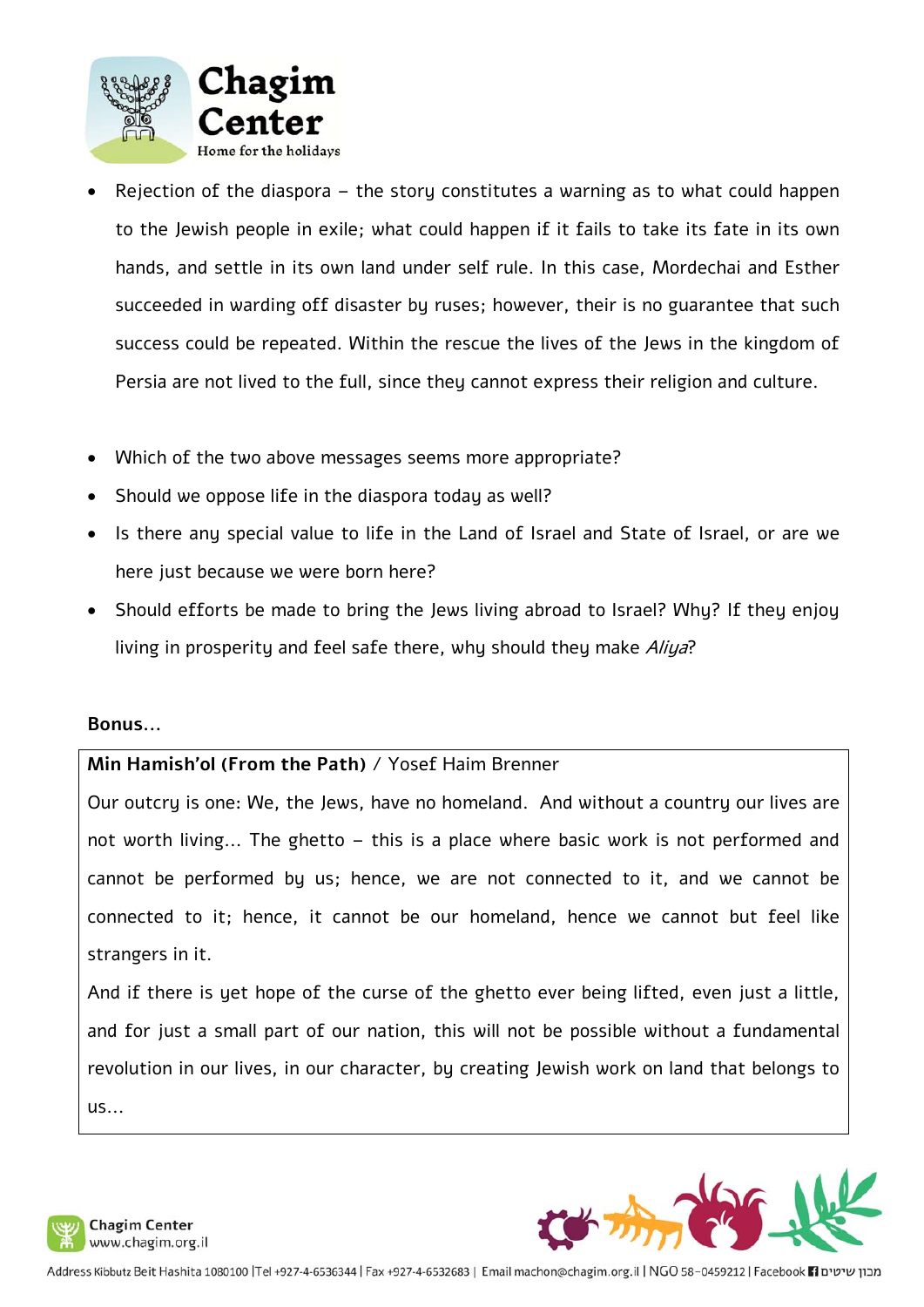

- Rejection of the diaspora the story constitutes a warning as to what could happen to the Jewish people in exile; what could happen if it fails to take its fate in its own hands, and settle in its own land under self rule. In this case, Mordechai and Esther succeeded in warding off disaster by ruses; however, their is no guarantee that such success could be repeated. Within the rescue the lives of the Jews in the kingdom of Persia are not lived to the full, since they cannot express their religion and culture.
- Which of the two above messages seems more appropriate?
- Should we oppose life in the diaspora today as well?
- Is there any special value to life in the Land of Israel and State of Israel, or are we here just because we were born here?
- Should efforts be made to bring the Jews living abroad to Israel? Why? If they enjoy living in prosperity and feel safe there, why should they make *Aliya*?

#### **Bonus...**

#### **Min Hamish'ol (From the Path)** / Yosef Haim Brenner

Our outcry is one: We, the Jews, have no homeland. And without a country our lives are not worth living... The ghetto – this is a place where basic work is not performed and cannot be performed by us; hence, we are not connected to it, and we cannot be connected to it; hence, it cannot be our homeland, hence we cannot but feel like strangers in it.

And if there is yet hope of the curse of the ghetto ever being lifted, even just a little, and for just a small part of our nation, this will not be possible without a fundamental revolution in our lives, in our character, by creating Jewish work on land that belongs to  $US...$